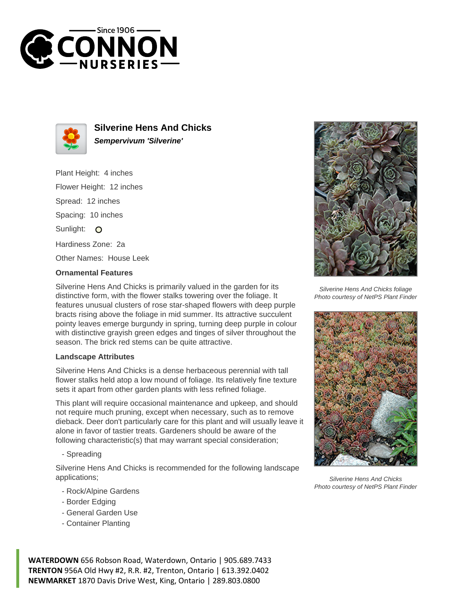



**Silverine Hens And Chicks Sempervivum 'Silverine'**

Plant Height: 4 inches Flower Height: 12 inches Spread: 12 inches Spacing: 10 inches Sunlight: O Hardiness Zone: 2a Other Names: House Leek

## **Ornamental Features**

Silverine Hens And Chicks is primarily valued in the garden for its distinctive form, with the flower stalks towering over the foliage. It features unusual clusters of rose star-shaped flowers with deep purple bracts rising above the foliage in mid summer. Its attractive succulent pointy leaves emerge burgundy in spring, turning deep purple in colour with distinctive grayish green edges and tinges of silver throughout the season. The brick red stems can be quite attractive.

## **Landscape Attributes**

Silverine Hens And Chicks is a dense herbaceous perennial with tall flower stalks held atop a low mound of foliage. Its relatively fine texture sets it apart from other garden plants with less refined foliage.

This plant will require occasional maintenance and upkeep, and should not require much pruning, except when necessary, such as to remove dieback. Deer don't particularly care for this plant and will usually leave it alone in favor of tastier treats. Gardeners should be aware of the following characteristic(s) that may warrant special consideration;

- Spreading

Silverine Hens And Chicks is recommended for the following landscape applications;

- Rock/Alpine Gardens
- Border Edging
- General Garden Use
- Container Planting

**WATERDOWN** 656 Robson Road, Waterdown, Ontario | 905.689.7433 **TRENTON** 956A Old Hwy #2, R.R. #2, Trenton, Ontario | 613.392.0402 **NEWMARKET** 1870 Davis Drive West, King, Ontario | 289.803.0800



Silverine Hens And Chicks foliage Photo courtesy of NetPS Plant Finder



Silverine Hens And Chicks Photo courtesy of NetPS Plant Finder